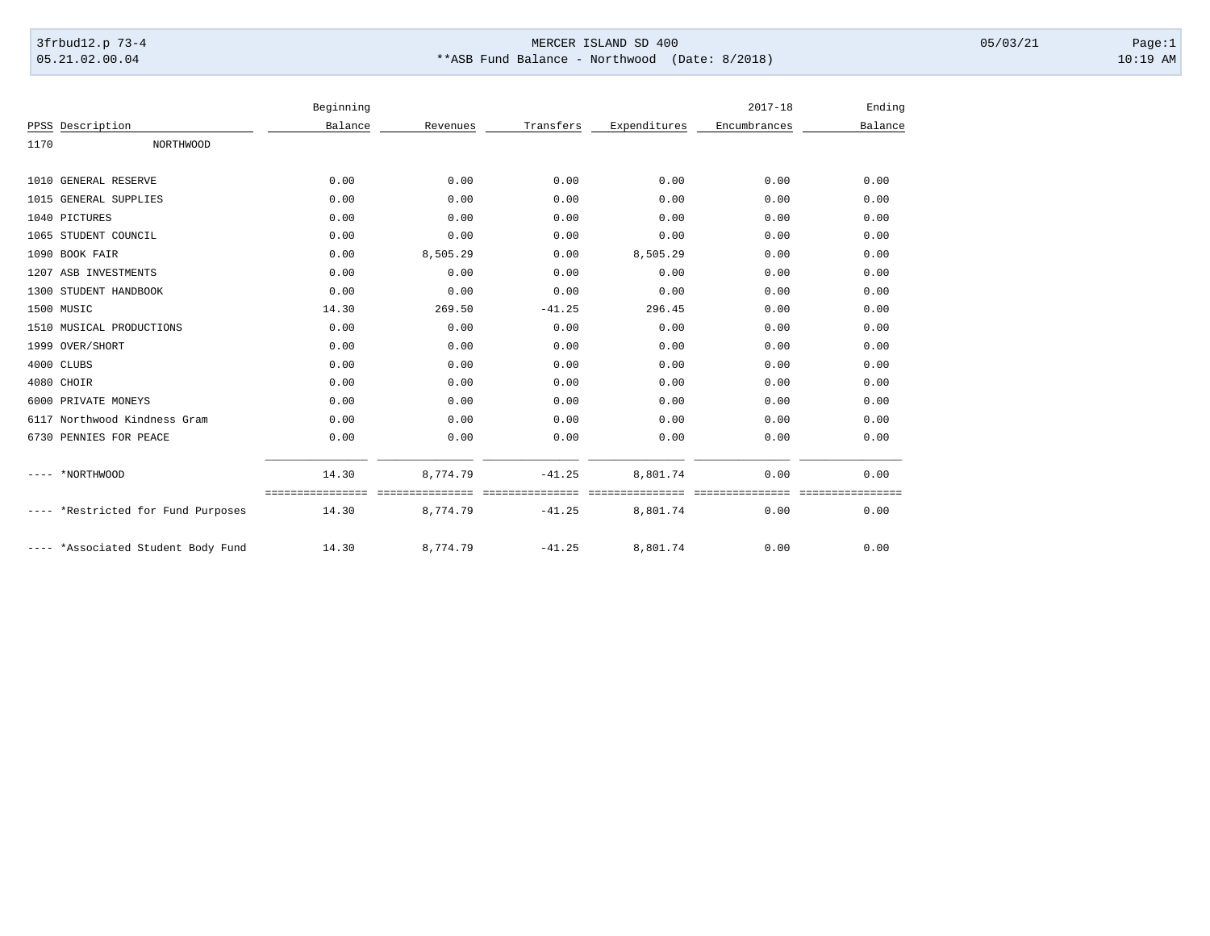## 3frbud12.p 73-4 Page:1 Page:1 05.21.02.00.04 \*\*ASB Fund Balance - Northwood (Date: 8/2018) 10:19 AM

|      |                               | Beginning |          |           |              | $2017 - 18$  | Ending  |
|------|-------------------------------|-----------|----------|-----------|--------------|--------------|---------|
|      | PPSS Description              | Balance   | Revenues | Transfers | Expenditures | Encumbrances | Balance |
| 1170 | <b>NORTHWOOD</b>              |           |          |           |              |              |         |
|      | 1010 GENERAL RESERVE          | 0.00      | 0.00     | 0.00      | 0.00         | 0.00         | 0.00    |
|      | 1015 GENERAL SUPPLIES         | 0.00      | 0.00     | 0.00      | 0.00         | 0.00         | 0.00    |
|      | 1040 PICTURES                 | 0.00      | 0.00     | 0.00      | 0.00         | 0.00         | 0.00    |
|      | 1065 STUDENT COUNCIL          | 0.00      | 0.00     | 0.00      | 0.00         | 0.00         | 0.00    |
|      | 1090 BOOK FAIR                | 0.00      | 8,505.29 | 0.00      | 8,505.29     | 0.00         | 0.00    |
|      | 1207 ASB INVESTMENTS          | 0.00      | 0.00     | 0.00      | 0.00         | 0.00         | 0.00    |
|      | 1300 STUDENT HANDBOOK         | 0.00      | 0.00     | 0.00      | 0.00         | 0.00         | 0.00    |
|      | 1500 MUSIC                    | 14.30     | 269.50   | $-41.25$  | 296.45       | 0.00         | 0.00    |
|      | 1510 MUSICAL PRODUCTIONS      | 0.00      | 0.00     | 0.00      | 0.00         | 0.00         | 0.00    |
|      | 1999 OVER/SHORT               | 0.00      | 0.00     | 0.00      | 0.00         | 0.00         | 0.00    |
|      | 4000 CLUBS                    | 0.00      | 0.00     | 0.00      | 0.00         | 0.00         | 0.00    |
|      | 4080 CHOIR                    | 0.00      | 0.00     | 0.00      | 0.00         | 0.00         | 0.00    |
| 6000 | PRIVATE MONEYS                | 0.00      | 0.00     | 0.00      | 0.00         | 0.00         | 0.00    |
|      | 6117 Northwood Kindness Gram  | 0.00      | 0.00     | 0.00      | 0.00         | 0.00         | 0.00    |
|      | 6730 PENNIES FOR PEACE        | 0.00      | 0.00     | 0.00      | 0.00         | 0.00         | 0.00    |
|      | *NORTHWOOD                    | 14.30     | 8,774.79 | $-41.25$  | 8,801.74     | 0.00         | 0.00    |
|      | *Restricted for Fund Purposes | 14.30     | 8,774.79 | $-41.25$  | 8,801.74     | 0.00         | 0.00    |
|      | *Associated Student Body Fund | 14.30     | 8,774.79 | $-41.25$  | 8,801.74     | 0.00         | 0.00    |